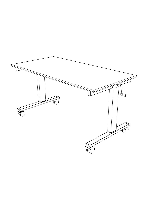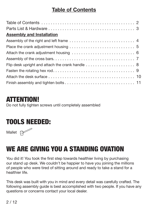### **Table of Contents**

| <b>Assembly and Installation</b> |
|----------------------------------|
|                                  |
|                                  |
|                                  |
|                                  |
|                                  |
|                                  |
|                                  |
|                                  |

### ATTENTION!

Do not fully tighten screws until completely assembled

## TOOLS NEEDED:

Mallet P

# WE ARE GIVING YOU A STANDING OVATION

You did it! You took the first step towards healthier living by purchasing our stand up desk. We couldn't be happier to have you joining the millions of people who were tired of sitting around and ready to take a stand for a healthier life.

This desk was built with you in mind and every detail was carefully crafted. The following assembly guide is best accomplished with two people. If you have any questions or concerns contact your local dealer.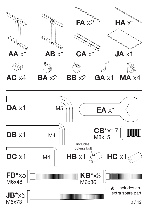

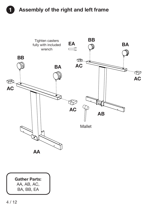

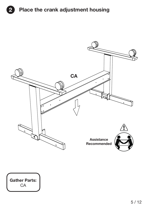#### **2 Place the crank adjustment housing**



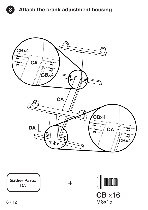



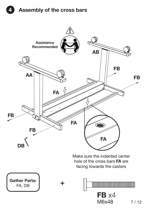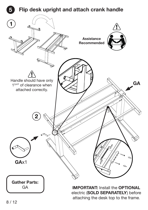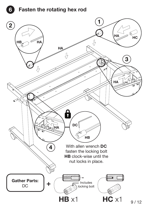#### **6 Fasten the rotating hex rod**

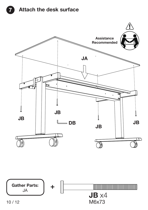**7 Attach the desk surface**



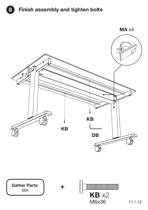#### **8 Finish assembly and tighten bolts**





11 / 12